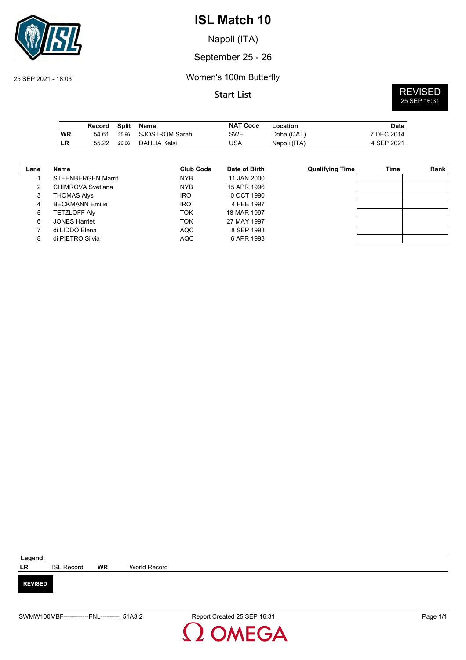

Napoli (ITA)

## September 25 - 26

## 25 SEP 2021 - 18:03 Women's 100m Butterfly

**Start List** REVISED 25 SEP 16:31

|           | Record | Split | Name                 | <b>NAT Code</b> | Location     | Date       |
|-----------|--------|-------|----------------------|-----------------|--------------|------------|
| <b>WR</b> | 54.61  |       | 25.96 SJOSTROM Sarah | SWE             | Doha (QAT)   | 7 DEC 2014 |
| <b>LR</b> | 55.22  | 26.06 | DAHLIA Kelsi         | USA             | Napoli (ITA) | 4 SEP 2021 |

| Lane | Name                      | Club Code  | Date of Birth | <b>Qualifying Time</b> | Time | Rank |
|------|---------------------------|------------|---------------|------------------------|------|------|
|      | <b>STEENBERGEN Marrit</b> | NYB        | 11 JAN 2000   |                        |      |      |
| 2    | CHIMROVA Svetlana         | <b>NYB</b> | 15 APR 1996   |                        |      |      |
| 3    | THOMAS Alys               | <b>IRO</b> | 10 OCT 1990   |                        |      |      |
| 4    | <b>BECKMANN Emilie</b>    | <b>IRO</b> | 4 FEB 1997    |                        |      |      |
| 5    | <b>TETZLOFF AIV</b>       | ток        | 18 MAR 1997   |                        |      |      |
| 6    | <b>JONES Harriet</b>      | ток        | 27 MAY 1997   |                        |      |      |
|      | di LIDDO Elena            | <b>AQC</b> | 8 SEP 1993    |                        |      |      |
| 8    | di PIETRO Silvia          | <b>AQC</b> | 6 APR 1993    |                        |      |      |

| Legend:        |                   |           |              |
|----------------|-------------------|-----------|--------------|
| LR             | <b>ISL Record</b> | <b>WR</b> | World Record |
|                |                   |           |              |
| <b>REVISED</b> |                   |           |              |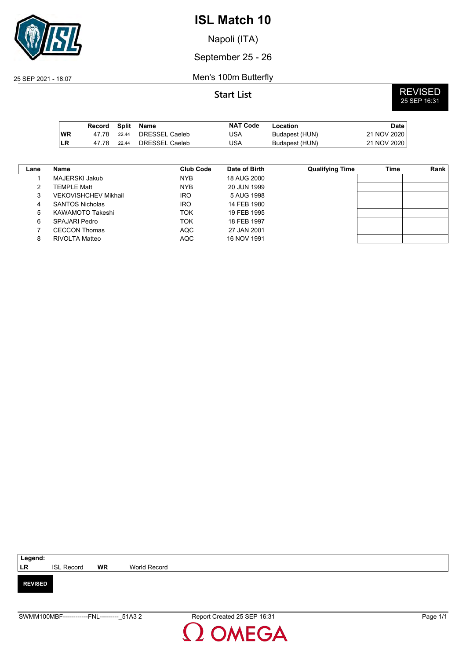

Napoli (ITA)

## September 25 - 26

25 SEP 2021 - 18:07 Men's 100m Butterfly

**Start List** REVISED 25 SEP 16:31

|            | Record |       | Split Name     | <b>NAT Code</b> | Location       | <b>Date</b> |
|------------|--------|-------|----------------|-----------------|----------------|-------------|
| <b>WR</b>  | 47 78  | 22.44 | DRESSEL Caeleb | JSA             | Budapest (HUN) | 21 NOV 2020 |
| <b>ILR</b> | 47 78  | 22.44 | DRESSEL Caeleb | JSA             | Budapest (HUN) | 21 NOV 2020 |

| Lane | Name                        | <b>Club Code</b> | Date of Birth | <b>Qualifying Time</b> | Time | Rank |
|------|-----------------------------|------------------|---------------|------------------------|------|------|
|      | MAJERSKI Jakub              | NYB.             | 18 AUG 2000   |                        |      |      |
| 2    | TEMPLE Matt                 | NYB.             | 20 JUN 1999   |                        |      |      |
| 3    | <b>VEKOVISHCHEV Mikhail</b> | <b>IRO</b>       | 5 AUG 1998    |                        |      |      |
| 4    | <b>SANTOS Nicholas</b>      | <b>IRO</b>       | 14 FEB 1980   |                        |      |      |
| 5    | KAWAMOTO Takeshi            | ток              | 19 FEB 1995   |                        |      |      |
| 6    | SPAJARI Pedro               | ток              | 18 FEB 1997   |                        |      |      |
|      | <b>CECCON Thomas</b>        | <b>AQC</b>       | 27 JAN 2001   |                        |      |      |
| 8    | RIVOLTA Matteo              | <b>AQC</b>       | 16 NOV 1991   |                        |      |      |

| Legend:        |                   |           |              |
|----------------|-------------------|-----------|--------------|
| <b>LR</b>      | <b>ISL Record</b> | <b>WR</b> | World Record |
|                |                   |           |              |
| <b>REVISED</b> |                   |           |              |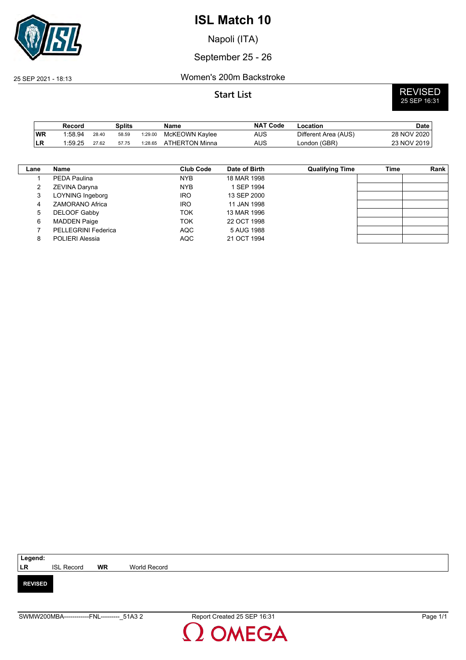

Napoli (ITA)

## September 25 - 26

### 25 SEP 2021 - 18:13 Women's 200m Backstroke

**Start List** REVISED 25 SEP 16:31

|    | Record  |       | Splits |         | Name           | <b>NAT Code</b> | -ocation             | Date        |
|----|---------|-------|--------|---------|----------------|-----------------|----------------------|-------------|
| WR | 1:58.94 | 28.40 | 58.59  | 1:29.00 | McKEOWN Kaylee | <b>AUS</b>      | Different Area (AUS) | 28 NOV 2020 |
| LR | 1:59.25 | 27.62 | 57.75  | 1:28.65 | ATHERTON Minna | <b>AUS</b>      | London (GBR)         | 23 NOV 2019 |

| Lane | Name                   | <b>Club Code</b> | Date of Birth | <b>Qualifying Time</b> | Time | Rank |
|------|------------------------|------------------|---------------|------------------------|------|------|
|      | PEDA Paulina           | <b>NYB</b>       | 18 MAR 1998   |                        |      |      |
|      | ZEVINA Daryna          | <b>NYB</b>       | 1 SEP 1994    |                        |      |      |
| 3    | LOYNING Ingeborg       | <b>IRO</b>       | 13 SEP 2000   |                        |      |      |
| 4    | ZAMORANO Africa        | <b>IRO</b>       | 11 JAN 1998   |                        |      |      |
| 5    | DELOOF Gabby           | <b>TOK</b>       | 13 MAR 1996   |                        |      |      |
| 6    | <b>MADDEN Paige</b>    | <b>TOK</b>       | 22 OCT 1998   |                        |      |      |
|      | PELLEGRINI Federica    | <b>AQC</b>       | 5 AUG 1988    |                        |      |      |
| 8    | <b>POLIERI Alessia</b> | <b>AQC</b>       | 21 OCT 1994   |                        |      |      |

| Legend:        |                   |           |              |
|----------------|-------------------|-----------|--------------|
| <b>LR</b>      | <b>ISL Record</b> | <b>WR</b> | World Record |
|                |                   |           |              |
| <b>REVISED</b> |                   |           |              |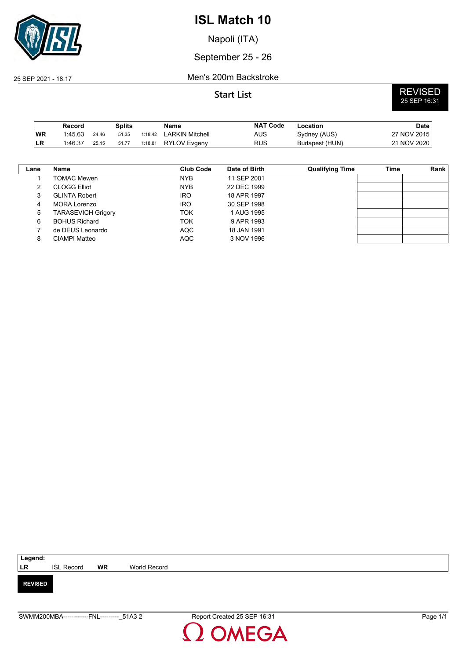

Napoli (ITA)

## September 25 - 26

### 25 SEP 2021 - 18:17 Men's 200m Backstroke

|           | Record  |       | <b>Splits</b> |         | Name                | <b>NAT Code</b> | Location       | <b>Date</b>                 |
|-----------|---------|-------|---------------|---------|---------------------|-----------------|----------------|-----------------------------|
| <b>WR</b> | 1:45.63 | 24.46 | 51.35         | 1:18.42 | LARKIN Mitchell     | AUS             | Sydney (AUS)   | 27 NOV 2015                 |
| ∣LR       | 1.46.37 | 25.15 | 51.77         | 1:18.81 | <b>RYLOV Evgeny</b> | <b>RUS</b>      | Budapest (HUN) | $^{\circ}$ NOV 2020 .<br>つ1 |

| Lane | <b>Name</b>               | <b>Club Code</b> | Date of Birth | <b>Qualifying Time</b> | Time | Rank |
|------|---------------------------|------------------|---------------|------------------------|------|------|
|      | TOMAC Mewen               | <b>NYB</b>       | 11 SEP 2001   |                        |      |      |
| 2    | <b>CLOGG Elliot</b>       | <b>NYB</b>       | 22 DEC 1999   |                        |      |      |
| 3    | <b>GLINTA Robert</b>      | <b>IRO</b>       | 18 APR 1997   |                        |      |      |
| 4    | MORA Lorenzo              | <b>IRO</b>       | 30 SEP 1998   |                        |      |      |
| 5    | <b>TARASEVICH Grigory</b> | TOK              | 1 AUG 1995    |                        |      |      |
| 6    | <b>BOHUS Richard</b>      | TOK              | 9 APR 1993    |                        |      |      |
|      | de DEUS Leonardo          | <b>AQC</b>       | 18 JAN 1991   |                        |      |      |
| 8    | CIAMPI Matteo             | <b>AQC</b>       | 3 NOV 1996    |                        |      |      |

| Legend:        |                   |           |              |
|----------------|-------------------|-----------|--------------|
| <b>LR</b>      | <b>ISL Record</b> | <b>WR</b> | World Record |
| <b>REVISED</b> |                   |           |              |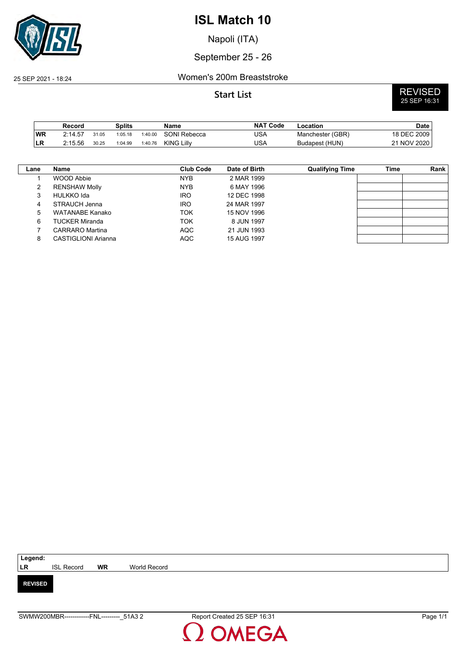

Napoli (ITA)

## September 25 - 26

### 25 SEP 2021 - 18:24 Women's 200m Breaststroke

|           | Record  |       | Splits  |         | Name              | <b>NAT Code</b> | Location         | Date        |
|-----------|---------|-------|---------|---------|-------------------|-----------------|------------------|-------------|
| <b>WR</b> | 2:14.57 | 31.05 | 1:05.18 | 1:40.00 | SONI Rebecca      | JSA             | Manchester (GBR) | 18 DEC 2009 |
| ILR       | 2:15.56 | 30.25 | 1:04.99 | 1:40.76 | <b>KING Lilly</b> | USA             | Budapest (HUN)   | 21 NOV 2020 |

| Lane | Name                  | <b>Club Code</b> | Date of Birth | <b>Qualifying Time</b> | Time | Rank |
|------|-----------------------|------------------|---------------|------------------------|------|------|
|      | WOOD Abbie            | <b>NYB</b>       | 2 MAR 1999    |                        |      |      |
| 2    | <b>RENSHAW Molly</b>  | <b>NYB</b>       | 6 MAY 1996    |                        |      |      |
|      | HULKKO Ida            | <b>IRO</b>       | 12 DEC 1998   |                        |      |      |
|      | STRAUCH Jenna         | <b>IRO</b>       | 24 MAR 1997   |                        |      |      |
| 5    | WATANABE Kanako       | TOK              | 15 NOV 1996   |                        |      |      |
| 6    | <b>TUCKER Miranda</b> | TOK              | 8 JUN 1997    |                        |      |      |
|      | CARRARO Martina       | <b>AQC</b>       | 21 JUN 1993   |                        |      |      |
| 8    | CASTIGLIONI Arianna   | <b>AQC</b>       | 15 AUG 1997   |                        |      |      |

| Legend:        |                   |           |              |  |  |  |  |  |
|----------------|-------------------|-----------|--------------|--|--|--|--|--|
| <b>LR</b>      | <b>ISL Record</b> | <b>WR</b> | World Record |  |  |  |  |  |
|                |                   |           |              |  |  |  |  |  |
| <b>REVISED</b> |                   |           |              |  |  |  |  |  |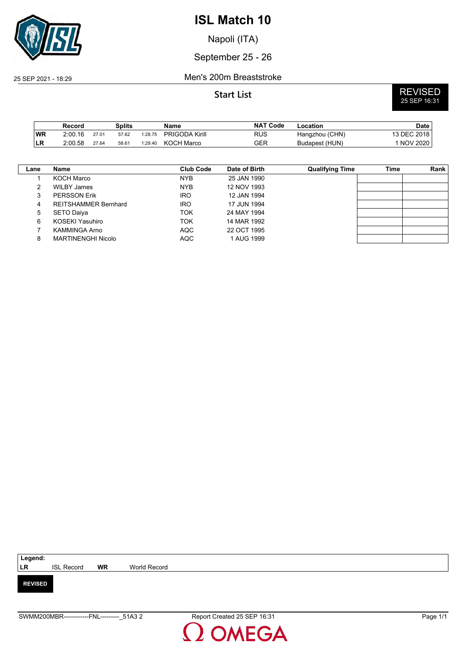

Napoli (ITA)

## September 25 - 26

### 25 SEP 2021 - 18:29 Men's 200m Breaststroke

**Start List** REVISED 25 SEP 16:31

|           | Record  |       | <b>Splits</b> |         | Name                  | <b>NAT Code</b> | -ocation       | Date        |
|-----------|---------|-------|---------------|---------|-----------------------|-----------------|----------------|-------------|
| <b>WR</b> | 2:00.16 | 27.01 | 57.62         | 1:28.75 | <b>PRIGODA Kirill</b> | RUS             | Hangzhou (CHN) | 13 DEC 2018 |
| <b>LR</b> | 2:00.58 | 27.64 | 58.61         | 1:29.40 | <b>KOCH Marco</b>     | GER             | Budapest (HUN) | 1 NOV 2020  |

| Lane | Name                        | Club Code  | Date of Birth | <b>Qualifying Time</b> | Time | Rank |
|------|-----------------------------|------------|---------------|------------------------|------|------|
|      | KOCH Marco                  | <b>NYB</b> | 25 JAN 1990   |                        |      |      |
| 2    | WILBY James                 | <b>NYB</b> | 12 NOV 1993   |                        |      |      |
| 3    | <b>PERSSON Erik</b>         | <b>IRO</b> | 12 JAN 1994   |                        |      |      |
| 4    | <b>REITSHAMMER Bernhard</b> | <b>IRO</b> | 17 JUN 1994   |                        |      |      |
| 5    | SETO Daiya                  | <b>TOK</b> | 24 MAY 1994   |                        |      |      |
| 6    | KOSEKI Yasuhiro             | <b>TOK</b> | 14 MAR 1992   |                        |      |      |
|      | <b>KAMMINGA Arno</b>        | <b>AQC</b> | 22 OCT 1995   |                        |      |      |
| 8    | <b>MARTINENGHI Nicolo</b>   | <b>AQC</b> | 1 AUG 1999    |                        |      |      |
|      |                             |            |               |                        |      |      |

| Legend:        |                   |           |              |  |  |  |  |  |
|----------------|-------------------|-----------|--------------|--|--|--|--|--|
| <b>LR</b>      | <b>ISL Record</b> | <b>WR</b> | World Record |  |  |  |  |  |
| <b>REVISED</b> |                   |           |              |  |  |  |  |  |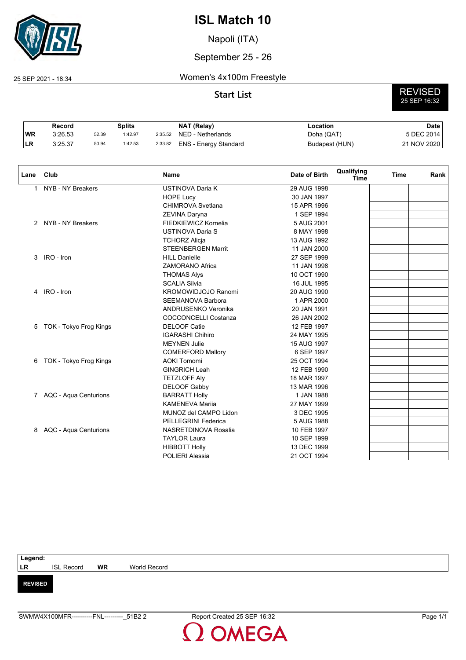

Napoli (ITA)

## September 25 - 26

### 25 SEP 2021 - 18:34 Women's 4x100m Freestyle

# **Start List** REVISED 25 SEP 16:32

|     | Record  |       | Splits  |         | <b>NAT (Relav)</b>           | Location       | Date        |
|-----|---------|-------|---------|---------|------------------------------|----------------|-------------|
| 'WR | 3:26.53 | 52.39 | 1:42.97 | 2:35.52 | NED - Netherlands            | Doha (QAT)     | 5 DEC 2014  |
| LВ  | 3:25.37 | 50.94 | 1:42.53 | 2:33.82 | <b>ENS - Energy Standard</b> | Budapest (HUN) | 21 NOV 2020 |

| Lane | Club                    | <b>Name</b>                 | Date of Birth | Qualifying<br><b>Time</b> | Time | Rank |
|------|-------------------------|-----------------------------|---------------|---------------------------|------|------|
| 1    | NYB - NY Breakers       | <b>USTINOVA Daria K</b>     | 29 AUG 1998   |                           |      |      |
|      |                         | <b>HOPE Lucy</b>            | 30 JAN 1997   |                           |      |      |
|      |                         | CHIMROVA Svetlana           | 15 APR 1996   |                           |      |      |
|      |                         | ZEVINA Daryna               | 1 SEP 1994    |                           |      |      |
|      | 2 NYB - NY Breakers     | FIEDKIEWICZ Kornelia        | 5 AUG 2001    |                           |      |      |
|      |                         | <b>USTINOVA Daria S</b>     | 8 MAY 1998    |                           |      |      |
|      |                         | <b>TCHORZ Alicja</b>        | 13 AUG 1992   |                           |      |      |
|      |                         | <b>STEENBERGEN Marrit</b>   | 11 JAN 2000   |                           |      |      |
| 3    | IRO - Iron              | <b>HILL Danielle</b>        | 27 SEP 1999   |                           |      |      |
|      |                         | <b>ZAMORANO Africa</b>      | 11 JAN 1998   |                           |      |      |
|      |                         | <b>THOMAS Alys</b>          | 10 OCT 1990   |                           |      |      |
|      |                         | <b>SCALIA Silvia</b>        | 16 JUL 1995   |                           |      |      |
| 4    | IRO - Iron              | <b>KROMOWIDJOJO Ranomi</b>  | 20 AUG 1990   |                           |      |      |
|      |                         | <b>SEEMANOVA Barbora</b>    | 1 APR 2000    |                           |      |      |
|      |                         | ANDRUSENKO Veronika         | 20 JAN 1991   |                           |      |      |
|      |                         | <b>COCCONCELLI Costanza</b> | 26 JAN 2002   |                           |      |      |
| 5    | TOK - Tokyo Frog Kings  | <b>DELOOF Catie</b>         | 12 FEB 1997   |                           |      |      |
|      |                         | <b>IGARASHI Chihiro</b>     | 24 MAY 1995   |                           |      |      |
|      |                         | <b>MEYNEN Julie</b>         | 15 AUG 1997   |                           |      |      |
|      |                         | <b>COMERFORD Mallory</b>    | 6 SEP 1997    |                           |      |      |
| 6    | TOK - Tokyo Frog Kings  | <b>AOKI Tomomi</b>          | 25 OCT 1994   |                           |      |      |
|      |                         | <b>GINGRICH Leah</b>        | 12 FEB 1990   |                           |      |      |
|      |                         | <b>TETZLOFF Aly</b>         | 18 MAR 1997   |                           |      |      |
|      |                         | <b>DELOOF Gabby</b>         | 13 MAR 1996   |                           |      |      |
|      | 7 AQC - Aqua Centurions | <b>BARRATT Holly</b>        | 1 JAN 1988    |                           |      |      |
|      |                         | <b>KAMENEVA Marija</b>      | 27 MAY 1999   |                           |      |      |
|      |                         | MUNOZ del CAMPO Lidon       | 3 DEC 1995    |                           |      |      |
|      |                         | <b>PELLEGRINI Federica</b>  | 5 AUG 1988    |                           |      |      |
| 8    | AQC - Aqua Centurions   | NASRETDINOVA Rosalia        | 10 FEB 1997   |                           |      |      |
|      |                         | <b>TAYLOR Laura</b>         | 10 SEP 1999   |                           |      |      |
|      |                         | <b>HIBBOTT Holly</b>        | 13 DEC 1999   |                           |      |      |
|      |                         | <b>POLIERI Alessia</b>      | 21 OCT 1994   |                           |      |      |
|      |                         |                             |               |                           |      |      |

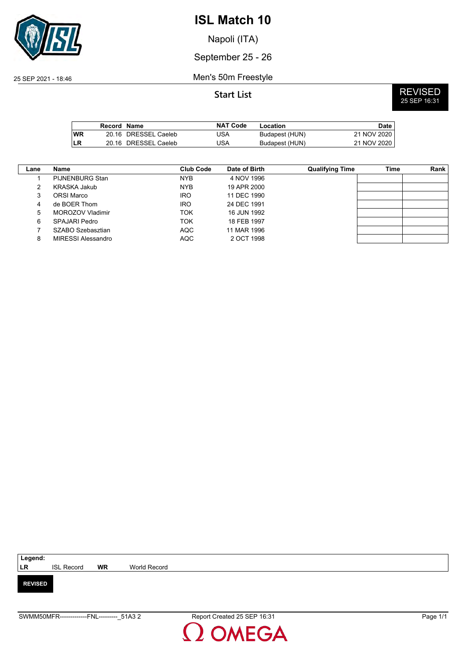

Napoli (ITA)

September 25 - 26

25 SEP 2021 - 18:46 Men's 50m Freestyle

|      | Record Name |                      | <b>NAT Code</b> | Location       | Date        |
|------|-------------|----------------------|-----------------|----------------|-------------|
| l WR |             | 20.16 DRESSEL Caeleb | JSA             | Budapest (HUN) | 21 NOV 2020 |
| ILR  |             | 20.16 DRESSEL Caeleb | JSA             | Budapest (HUN) | 21 NOV 2020 |

| Lane | Name                   | Club Code  | Date of Birth | <b>Qualifying Time</b> | Time | Rank |
|------|------------------------|------------|---------------|------------------------|------|------|
|      | <b>PIJNENBURG Stan</b> | <b>NYB</b> | 4 NOV 1996    |                        |      |      |
| 2    | KRASKA Jakub           | <b>NYB</b> | 19 APR 2000   |                        |      |      |
| 3    | ORSI Marco             | <b>IRO</b> | 11 DEC 1990   |                        |      |      |
| 4    | de BOER Thom           | <b>IRO</b> | 24 DEC 1991   |                        |      |      |
| 5    | MOROZOV Vladimir       | TOK        | 16 JUN 1992   |                        |      |      |
| 6    | SPAJARI Pedro          | TOK        | 18 FEB 1997   |                        |      |      |
|      | SZABO Szebasztian      | AQC        | 11 MAR 1996   |                        |      |      |
| 8    | MIRESSI Alessandro     | <b>AQC</b> | 2 OCT 1998    |                        |      |      |

| Legend:        |                   |           |              |
|----------------|-------------------|-----------|--------------|
| LR             | <b>ISL Record</b> | <b>WR</b> | World Record |
|                |                   |           |              |
| <b>REVISED</b> |                   |           |              |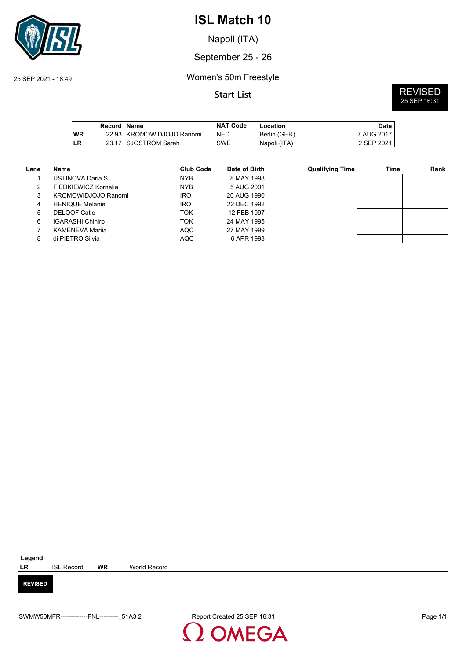

Napoli (ITA)

## September 25 - 26

## 25 SEP 2021 - 18:49 Women's 50m Freestyle

|            | Record Name |                           | <b>NAT Code</b> | Location     | Date       |
|------------|-------------|---------------------------|-----------------|--------------|------------|
| <b>WR</b>  |             | 22.93 KROMOWIDJOJO Ranomi | <b>NED</b>      | Berlin (GER) | 7 AUG 2017 |
| <b>ILR</b> |             | 23.17 SJOSTROM Sarah      | SWE             | Napoli (ITA) | 2 SEP 2021 |

| Lane | Name                    | <b>Club Code</b> | Date of Birth | <b>Qualifying Time</b> | Time | Rank |
|------|-------------------------|------------------|---------------|------------------------|------|------|
|      | USTINOVA Daria S        | <b>NYB</b>       | 8 MAY 1998    |                        |      |      |
| 2    | FIEDKIEWICZ Kornelia    | <b>NYB</b>       | 5 AUG 2001    |                        |      |      |
| 3    | KROMOWIDJOJO Ranomi     | <b>IRO</b>       | 20 AUG 1990   |                        |      |      |
| 4    | <b>HENIQUE Melanie</b>  | <b>IRO</b>       | 22 DEC 1992   |                        |      |      |
| 5    | <b>DELOOF Catie</b>     | TOK              | 12 FEB 1997   |                        |      |      |
| 6    | <b>IGARASHI Chihiro</b> | TOK              | 24 MAY 1995   |                        |      |      |
|      | KAMENEVA Marija         | AQC              | 27 MAY 1999   |                        |      |      |
| 8    | di PIETRO Silvia        | <b>AQC</b>       | 6 APR 1993    |                        |      |      |

| Legend:        |                   |           |              |
|----------------|-------------------|-----------|--------------|
| <b>LR</b>      | <b>ISL Record</b> | <b>WR</b> | World Record |
|                |                   |           |              |
| <b>REVISED</b> |                   |           |              |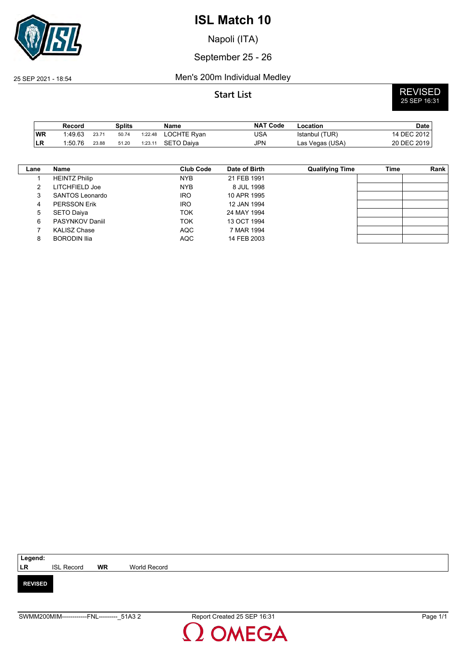

Napoli (ITA)

## September 25 - 26

### 25 SEP 2021 - 18:54 Men's 200m Individual Medley

**Start List** REVISED 25 SEP 16:31

|    | Record  |       | Splits |         | Name        | <b>NAT Code</b> | Location        | <b>Date</b> |
|----|---------|-------|--------|---------|-------------|-----------------|-----------------|-------------|
| WR | 1:49.63 | 23.71 | 50.74  | 1:22.48 | LOCHTE Ryan | USA             | Istanbul (TUR)  | 14 DEC 2012 |
| LR | 1:50.76 | 23.88 | 51.20  | 1:23.11 | SETO Daiva  | JPN             | Las Vegas (USA) | 20 DEC 2019 |

| Lane | <b>Name</b>          | <b>Club Code</b> | Date of Birth | <b>Qualifying Time</b> | Time | Rank |
|------|----------------------|------------------|---------------|------------------------|------|------|
|      | <b>HEINTZ Philip</b> | <b>NYB</b>       | 21 FEB 1991   |                        |      |      |
| າ    | LITCHFIELD Joe       | <b>NYB</b>       | 8 JUL 1998    |                        |      |      |
| 3    | SANTOS Leonardo      | <b>IRO</b>       | 10 APR 1995   |                        |      |      |
| 4    | <b>PERSSON Erik</b>  | <b>IRO</b>       | 12 JAN 1994   |                        |      |      |
| 5    | SETO Daiya           | TOK              | 24 MAY 1994   |                        |      |      |
| 6    | PASYNKOV Daniil      | TOK              | 13 OCT 1994   |                        |      |      |
|      | <b>KALISZ Chase</b>  | <b>AQC</b>       | 7 MAR 1994    |                        |      |      |
| 8    | <b>BORODIN Ilia</b>  | <b>AQC</b>       | 14 FEB 2003   |                        |      |      |

| Legend:        |                   |           |              |  |
|----------------|-------------------|-----------|--------------|--|
| <b>LR</b>      | <b>ISL Record</b> | <b>WR</b> | World Record |  |
|                |                   |           |              |  |
| <b>REVISED</b> |                   |           |              |  |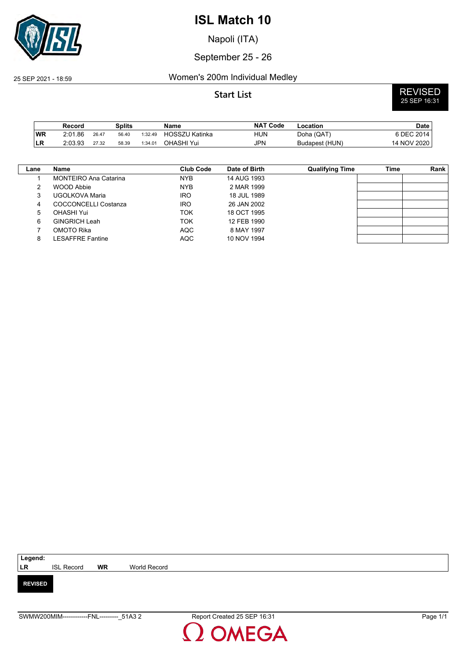

Napoli (ITA)

## September 25 - 26

## 25 SEP 2021 - 18:59 Women's 200m Individual Medley

**Start List** REVISED 25 SEP 16:31

|           | Record  |       | Splits |         | Name                  | <b>NAT Code</b> | Location       | Date        |
|-----------|---------|-------|--------|---------|-----------------------|-----------------|----------------|-------------|
| <b>WR</b> | 2:01.86 | 26.47 | 56.40  | 1:32.49 | <b>HOSSZU Katinka</b> | HUN             | Doha (QAT)     | 6 DEC 2014  |
| ∣LR       | 2:03.93 | 27.32 | 58.39  | 1:34.01 | OHASHI Yui            | JPN             | Budapest (HUN) | 14 NOV 2020 |

| Lane | Name                         | <b>Club Code</b> | Date of Birth | <b>Qualifying Time</b> | Time | Rank |
|------|------------------------------|------------------|---------------|------------------------|------|------|
|      | <b>MONTEIRO Ana Catarina</b> | <b>NYB</b>       | 14 AUG 1993   |                        |      |      |
|      | WOOD Abbie                   | <b>NYB</b>       | 2 MAR 1999    |                        |      |      |
| 3    | UGOLKOVA Maria               | <b>IRO</b>       | 18 JUL 1989   |                        |      |      |
| 4    | COCCONCELLI Costanza         | <b>IRO</b>       | 26 JAN 2002   |                        |      |      |
| 5    | OHASHI Yui                   | ток              | 18 OCT 1995   |                        |      |      |
| 6    | <b>GINGRICH Leah</b>         | ток              | 12 FEB 1990   |                        |      |      |
|      | OMOTO Rika                   | <b>AQC</b>       | 8 MAY 1997    |                        |      |      |
| 8    | LESAFFRE Fantine             | <b>AQC</b>       | 10 NOV 1994   |                        |      |      |

| Legend:        |                   |           |              |
|----------------|-------------------|-----------|--------------|
| <b>LR</b>      | <b>ISL Record</b> | <b>WR</b> | World Record |
| <b>REVISED</b> |                   |           |              |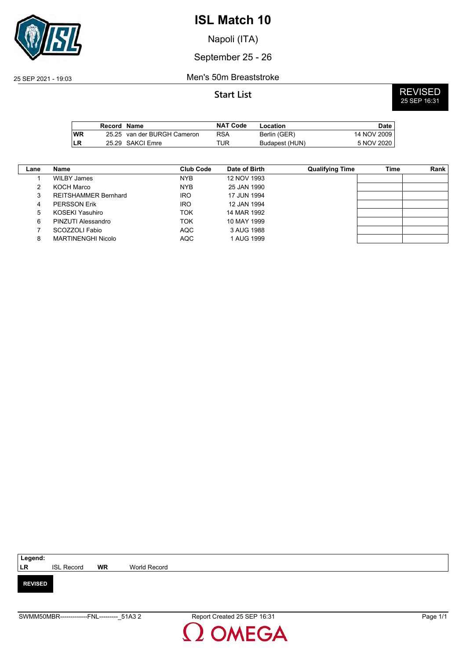

Napoli (ITA)

September 25 - 26

### 25 SEP 2021 - 19:03 Men's 50m Breaststroke

|            | Record Name |                             | <b>NAT Code</b> | Location       | Date        |
|------------|-------------|-----------------------------|-----------------|----------------|-------------|
| <b>IWR</b> |             | 25.25 van der BURGH Cameron | RSA             | Berlin (GER)   | 14 NOV 2009 |
| LR         |             | 25.29 SAKCI Emre            | TUR             | Budapest (HUN) | 5 NOV 2020  |

| Lane | <b>Name</b>                 | <b>Club Code</b> | Date of Birth | <b>Qualifying Time</b> | Time | Rank |
|------|-----------------------------|------------------|---------------|------------------------|------|------|
|      | WILBY James                 | <b>NYB</b>       | 12 NOV 1993   |                        |      |      |
| 2    | KOCH Marco                  | <b>NYB</b>       | 25 JAN 1990   |                        |      |      |
| 3    | <b>REITSHAMMER Bernhard</b> | <b>IRO</b>       | 17 JUN 1994   |                        |      |      |
| 4    | <b>PERSSON Erik</b>         | <b>IRO</b>       | 12 JAN 1994   |                        |      |      |
| 5    | KOSEKI Yasuhiro             | TOK              | 14 MAR 1992   |                        |      |      |
| 6    | PINZUTI Alessandro          | TOK              | 10 MAY 1999   |                        |      |      |
|      | SCOZZOLI Fabio              | AQC              | 3 AUG 1988    |                        |      |      |
| 8    | MARTINENGHI Nicolo          | <b>AQC</b>       | 1 AUG 1999    |                        |      |      |

| Legend:        |                   |           |              |
|----------------|-------------------|-----------|--------------|
| <b>LR</b>      | <b>ISL Record</b> | <b>WR</b> | World Record |
|                |                   |           |              |
| <b>REVISED</b> |                   |           |              |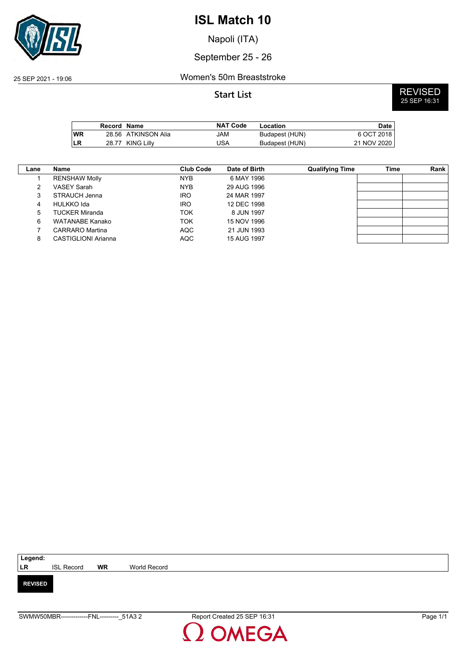

Napoli (ITA)

## September 25 - 26

### 25 SEP 2021 - 19:06 Women's 50m Breaststroke

|            | Record Name |                     | NAT Code | Location       | Date i      |
|------------|-------------|---------------------|----------|----------------|-------------|
| <b>IWR</b> |             | 28.56 ATKINSON Alia | JAM      | Budapest (HUN) | 6 OCT 2018  |
| LR         |             | 28.77 KING Lilly    | JSA      | Budapest (HUN) | 21 NOV 2020 |

| Lane | <b>Name</b>          | Club Code  | Date of Birth | <b>Qualifying Time</b> | Time | Rank |
|------|----------------------|------------|---------------|------------------------|------|------|
|      | <b>RENSHAW Molly</b> | <b>NYB</b> | 6 MAY 1996    |                        |      |      |
| 2    | VASEY Sarah          | <b>NYB</b> | 29 AUG 1996   |                        |      |      |
| 3    | STRAUCH Jenna        | <b>IRO</b> | 24 MAR 1997   |                        |      |      |
| 4    | HULKKO Ida           | <b>IRO</b> | 12 DEC 1998   |                        |      |      |
| 5    | TUCKER Miranda       | TOK        | 8 JUN 1997    |                        |      |      |
| 6    | WATANABE Kanako      | TOK        | 15 NOV 1996   |                        |      |      |
|      | CARRARO Martina      | <b>AQC</b> | 21 JUN 1993   |                        |      |      |
| 8    | CASTIGLIONI Arianna  | <b>AQC</b> | 15 AUG 1997   |                        |      |      |

| Legend:        |                   |           |              |
|----------------|-------------------|-----------|--------------|
| <b>LR</b>      | <b>ISL Record</b> | <b>WR</b> | World Record |
|                |                   |           |              |
| <b>REVISED</b> |                   |           |              |
|                |                   |           |              |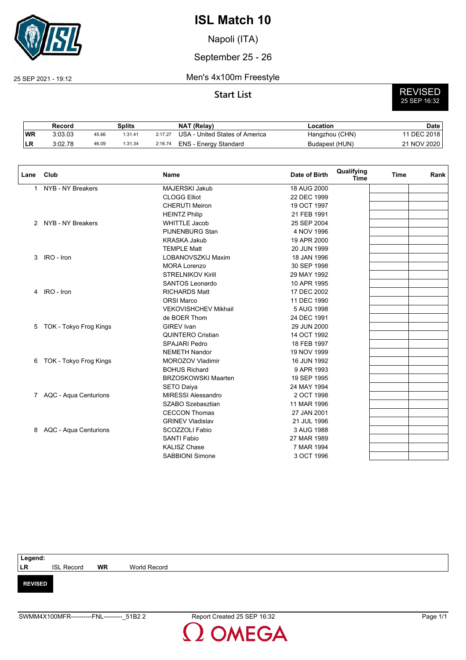

Napoli (ITA)

September 25 - 26

### 25 SEP 2021 - 19:12 Men's 4x100m Freestyle

# **Start List** REVISED 25 SEP 16:32

|     | Record  |       | Splits  |         | <b>NAT (Relav)</b>             | Location       | Date        |
|-----|---------|-------|---------|---------|--------------------------------|----------------|-------------|
| 'WR | 3:03.03 | 45.66 | 1:31.41 | 2:17.27 | USA - United States of America | Hangzhou (CHN) | 11 DEC 2018 |
| ∟ռ  | 3:02.78 | 46.09 | 1:31.34 | 2:16.74 | ENS - Energy Standard          | Budapest (HUN) | 21 NOV 2020 |

| Lane | Club                    | <b>Name</b>                 | Date of Birth | Qualifying<br><b>Time</b> | <b>Time</b> | Rank |
|------|-------------------------|-----------------------------|---------------|---------------------------|-------------|------|
| 1    | NYB - NY Breakers       | <b>MAJERSKI Jakub</b>       | 18 AUG 2000   |                           |             |      |
|      |                         | <b>CLOGG Elliot</b>         | 22 DEC 1999   |                           |             |      |
|      |                         | <b>CHERUTI Meiron</b>       | 19 OCT 1997   |                           |             |      |
|      |                         | <b>HEINTZ Philip</b>        | 21 FEB 1991   |                           |             |      |
|      | 2 NYB - NY Breakers     | <b>WHITTLE Jacob</b>        | 25 SEP 2004   |                           |             |      |
|      |                         | <b>PIJNENBURG Stan</b>      | 4 NOV 1996    |                           |             |      |
|      |                         | <b>KRASKA Jakub</b>         | 19 APR 2000   |                           |             |      |
|      |                         | <b>TEMPLE Matt</b>          | 20 JUN 1999   |                           |             |      |
| 3    | IRO - Iron              | LOBANOVSZKIJ Maxim          | 18 JAN 1996   |                           |             |      |
|      |                         | <b>MORA Lorenzo</b>         | 30 SEP 1998   |                           |             |      |
|      |                         | <b>STRELNIKOV Kirill</b>    | 29 MAY 1992   |                           |             |      |
|      |                         | <b>SANTOS Leonardo</b>      | 10 APR 1995   |                           |             |      |
| 4    | IRO - Iron              | <b>RICHARDS Matt</b>        | 17 DEC 2002   |                           |             |      |
|      |                         | <b>ORSI Marco</b>           | 11 DEC 1990   |                           |             |      |
|      |                         | <b>VEKOVISHCHEV Mikhail</b> | 5 AUG 1998    |                           |             |      |
|      |                         | de BOER Thom                | 24 DEC 1991   |                           |             |      |
| 5    | TOK - Tokyo Frog Kings  | <b>GIREV</b> Ivan           | 29 JUN 2000   |                           |             |      |
|      |                         | <b>QUINTERO Cristian</b>    | 14 OCT 1992   |                           |             |      |
|      |                         | <b>SPAJARI Pedro</b>        | 18 FEB 1997   |                           |             |      |
|      |                         | <b>NEMETH Nandor</b>        | 19 NOV 1999   |                           |             |      |
| 6    | TOK - Tokyo Frog Kings  | <b>MOROZOV Vladimir</b>     | 16 JUN 1992   |                           |             |      |
|      |                         | <b>BOHUS Richard</b>        | 9 APR 1993    |                           |             |      |
|      |                         | <b>BRZOSKOWSKI Maarten</b>  | 19 SEP 1995   |                           |             |      |
|      |                         | <b>SETO Daiya</b>           | 24 MAY 1994   |                           |             |      |
|      | 7 AQC - Aqua Centurions | <b>MIRESSI Alessandro</b>   | 2 OCT 1998    |                           |             |      |
|      |                         | SZABO Szebasztian           | 11 MAR 1996   |                           |             |      |
|      |                         | <b>CECCON Thomas</b>        | 27 JAN 2001   |                           |             |      |
|      |                         | <b>GRINEV Vladislav</b>     | 21 JUL 1996   |                           |             |      |
| 8    | AQC - Aqua Centurions   | SCOZZOLI Fabio              | 3 AUG 1988    |                           |             |      |
|      |                         | <b>SANTI Fabio</b>          | 27 MAR 1989   |                           |             |      |
|      |                         | <b>KALISZ Chase</b>         | 7 MAR 1994    |                           |             |      |
|      |                         | <b>SABBIONI Simone</b>      | 3 OCT 1996    |                           |             |      |

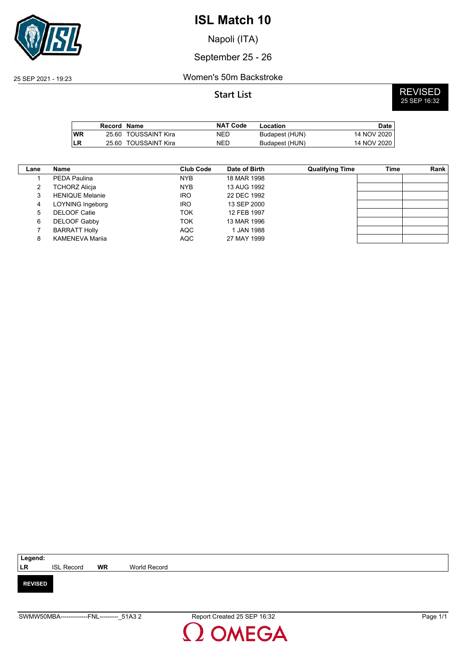

Napoli (ITA)

September 25 - 26

### 25 SEP 2021 - 19:23 Women's 50m Backstroke

|           | Record Name |                      | <b>NAT Code</b> | Location       | Date I        |
|-----------|-------------|----------------------|-----------------|----------------|---------------|
| <b>WR</b> |             | 25.60 TOUSSAINT Kira | NED             | Budapest (HUN) | 14 NOV 2020 L |
| ILR       |             | 25.60 TOUSSAINT Kira | NED             | Budapest (HUN) | 14 NOV 2020   |

| Lane | Name                   | <b>Club Code</b> | Date of Birth | <b>Qualifying Time</b> | Time | Rank |
|------|------------------------|------------------|---------------|------------------------|------|------|
|      | PEDA Paulina           | NYB.             | 18 MAR 1998   |                        |      |      |
| 2    | TCHORZ Alicja          | <b>NYB</b>       | 13 AUG 1992   |                        |      |      |
| 3    | <b>HENIQUE Melanie</b> | <b>IRO</b>       | 22 DEC 1992   |                        |      |      |
| 4    | LOYNING Ingeborg       | <b>IRO</b>       | 13 SEP 2000   |                        |      |      |
| 5    | <b>DELOOF Catie</b>    | ток              | 12 FEB 1997   |                        |      |      |
| 6    | DELOOF Gabby           | ток              | 13 MAR 1996   |                        |      |      |
|      | <b>BARRATT Holly</b>   | <b>AQC</b>       | 1 JAN 1988    |                        |      |      |
| 8    | KAMENEVA Marija        | <b>AQC</b>       | 27 MAY 1999   |                        |      |      |

| Legend:        |                   |           |              |
|----------------|-------------------|-----------|--------------|
| <b>LR</b>      | <b>ISL Record</b> | <b>WR</b> | World Record |
|                |                   |           |              |
| <b>REVISED</b> |                   |           |              |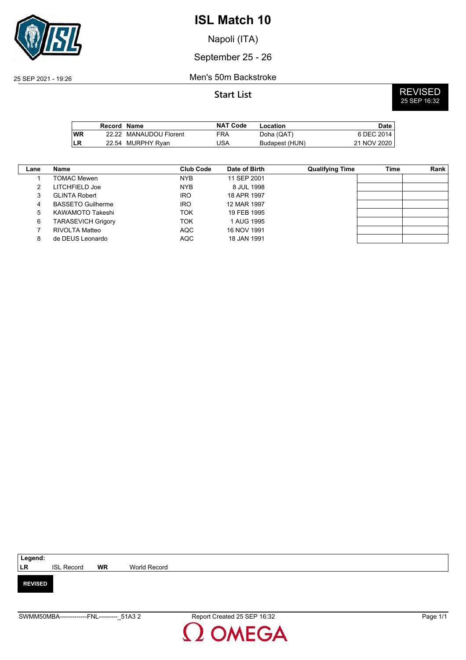

Napoli (ITA)

September 25 - 26

### 25 SEP 2021 - 19:26 Men's 50m Backstroke

**Start List** REVISED 25 SEP 16:32

|            | Record Name |                        | <b>NAT Code</b> | Location       | Date l      |
|------------|-------------|------------------------|-----------------|----------------|-------------|
| <b>IWR</b> |             | 22.22 MANAUDOU Florent | FRA             | Doha (QAT)     | 6 DEC 2014  |
| <b>ILR</b> |             | 22.54 MURPHY Ryan      | JSA             | Budapest (HUN) | 21 NOV 2020 |

| Lane | <b>Name</b>               | <b>Club Code</b> | Date of Birth | <b>Qualifying Time</b> | Time | Rank |
|------|---------------------------|------------------|---------------|------------------------|------|------|
|      | TOMAC Mewen               | <b>NYB</b>       | 11 SEP 2001   |                        |      |      |
| 2    | LITCHFIELD Joe            | <b>NYB</b>       | 8 JUL 1998    |                        |      |      |
| 3    | <b>GLINTA Robert</b>      | <b>IRO</b>       | 18 APR 1997   |                        |      |      |
| 4    | <b>BASSETO Guilherme</b>  | <b>IRO</b>       | 12 MAR 1997   |                        |      |      |
| 5    | KAWAMOTO Takeshi          | TOK              | 19 FEB 1995   |                        |      |      |
| 6    | <b>TARASEVICH Grigory</b> | ток              | 1 AUG 1995    |                        |      |      |
|      | RIVOLTA Matteo            | <b>AQC</b>       | 16 NOV 1991   |                        |      |      |
| 8    | de DEUS Leonardo          | <b>AQC</b>       | 18 JAN 1991   |                        |      |      |

| Legend:        |                   |           |              |
|----------------|-------------------|-----------|--------------|
| <b>LR</b>      | <b>ISL Record</b> | <b>WR</b> | World Record |
|                |                   |           |              |
| <b>REVISED</b> |                   |           |              |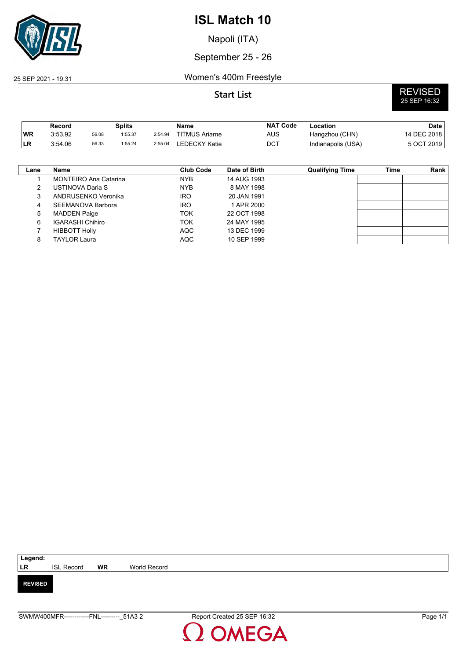

Napoli (ITA)

## September 25 - 26

## 25 SEP 2021 - 19:31 Women's 400m Freestyle

# **Start List** REVISED 25 SEP 16:32

|           | Record  |       | <b>Splits</b> |         | Name                  | <b>NAT Code</b>  | Location           | Date        |
|-----------|---------|-------|---------------|---------|-----------------------|------------------|--------------------|-------------|
| <b>WR</b> | 3:53.92 | 56.08 | 1:55.37       | 2:54.94 | <b>TITMUS Ariarne</b> | AUS              | Hangzhou (CHN)     | 14 DEC 2018 |
| 'LR       | 3:54.06 | 56.33 | 1:55.24       | 2:55.04 | LEDECKY Katie         | $DC^{\intercal}$ | Indianapolis (USA) | 5 OCT 2019  |

| Lane | Name                         | <b>Club Code</b> | Date of Birth | <b>Qualifying Time</b> | Time | Rank |
|------|------------------------------|------------------|---------------|------------------------|------|------|
|      | <b>MONTEIRO Ana Catarina</b> | <b>NYB</b>       | 14 AUG 1993   |                        |      |      |
|      | USTINOVA Daria S             | <b>NYB</b>       | 8 MAY 1998    |                        |      |      |
|      | ANDRUSENKO Veronika          | <b>IRO</b>       | 20 JAN 1991   |                        |      |      |
|      | SEEMANOVA Barbora            | <b>IRO</b>       | 1 APR 2000    |                        |      |      |
| 5    | <b>MADDEN Paige</b>          | <b>TOK</b>       | 22 OCT 1998   |                        |      |      |
| 6    | <b>IGARASHI Chihiro</b>      | <b>TOK</b>       | 24 MAY 1995   |                        |      |      |
|      | <b>HIBBOTT Holly</b>         | <b>AQC</b>       | 13 DEC 1999   |                        |      |      |
|      | <b>TAYLOR Laura</b>          | <b>AQC</b>       | 10 SEP 1999   |                        |      |      |

| Legend:        |                   |           |              |
|----------------|-------------------|-----------|--------------|
| LR             | <b>ISL Record</b> | <b>WR</b> | World Record |
|                |                   |           |              |
| <b>REVISED</b> |                   |           |              |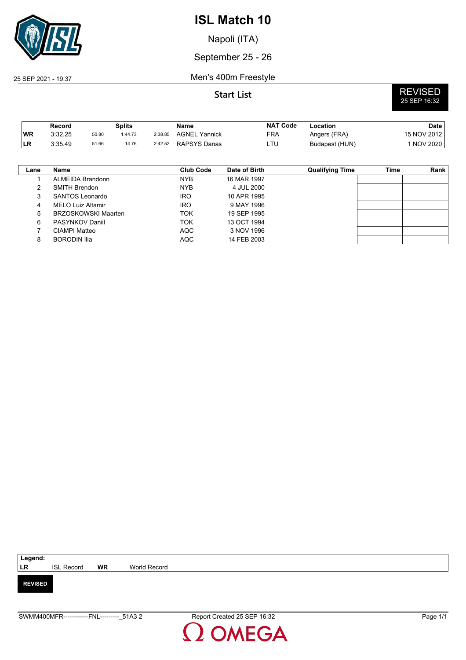

Napoli (ITA)

September 25 - 26

25 SEP 2021 - 19:37 Men's 400m Freestyle

# **Start List** REVISED 25 SEP 16:32

|           | Record  |       | Splits  |         | Name                 | <b>NAT Code</b> | Location       | Date I      |
|-----------|---------|-------|---------|---------|----------------------|-----------------|----------------|-------------|
| <b>WR</b> | 3:32.25 | 50.80 | 1:44.73 | 2:38.85 | <b>AGNEL Yannick</b> | FRA             | Angers (FRA)   | 15 NOV 2012 |
| ILR.      | 3:35.49 | 51.66 | 14.76   | 2:42.52 | RAPSYS Danas         | LTU             | Budapest (HUN) | NOV 2020    |

| Lane | Name                       | Club Code  | Date of Birth | <b>Qualifying Time</b> | Time | Rank |
|------|----------------------------|------------|---------------|------------------------|------|------|
|      | ALMEIDA Brandonn           | NYB.       | 16 MAR 1997   |                        |      |      |
|      | SMITH Brendon              | <b>NYB</b> | 4 JUL 2000    |                        |      |      |
| 3    | SANTOS Leonardo            | <b>IRO</b> | 10 APR 1995   |                        |      |      |
| 4    | <b>MELO Luiz Altamir</b>   | <b>IRO</b> | 9 MAY 1996    |                        |      |      |
| 5    | <b>BRZOSKOWSKI Maarten</b> | <b>TOK</b> | 19 SEP 1995   |                        |      |      |
| 6    | PASYNKOV Daniil            | <b>TOK</b> | 13 OCT 1994   |                        |      |      |
|      | CIAMPI Matteo              | <b>AQC</b> | 3 NOV 1996    |                        |      |      |
| 8    | <b>BORODIN Ilia</b>        | AQC        | 14 FEB 2003   |                        |      |      |

| Legend:        |                   |           |              |
|----------------|-------------------|-----------|--------------|
| LR             | <b>ISL Record</b> | <b>WR</b> | World Record |
|                |                   |           |              |
| <b>REVISED</b> |                   |           |              |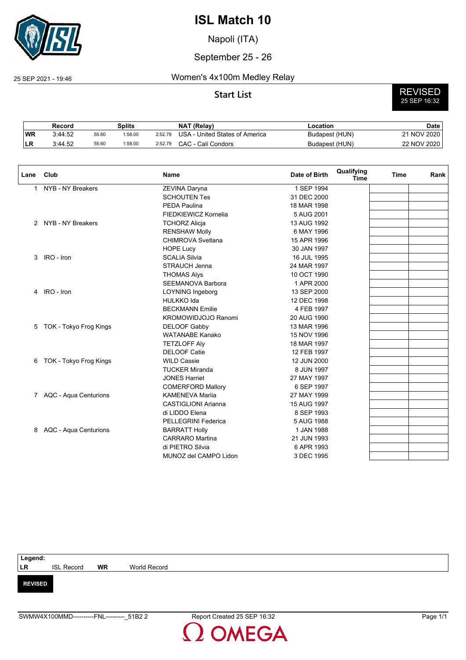

Napoli (ITA)

## September 25 - 26

### 25 SEP 2021 - 19:46 Women's 4x100m Medley Relay

# **Start List** REVISED 25 SEP 16:32

|    | Record  |       | Splits  |         | <b>NAT (Relav)</b>             | Location       | Date        |
|----|---------|-------|---------|---------|--------------------------------|----------------|-------------|
| WR | 3:44.52 | 55.60 | 1:58.00 | 2:52.79 | USA - United States of America | Budapest (HUN) | 21 NOV 2020 |
| ∟ռ | 3:44.52 | 55.60 | 1:58.00 | 2:52.79 | CAC - Cali Condors             | Budapest (HUN) | 22 NOV 2020 |

| Lane | Club                    | <b>Name</b>                | Date of Birth | Qualifying<br><b>Time</b> | <b>Time</b> | Rank |
|------|-------------------------|----------------------------|---------------|---------------------------|-------------|------|
| 1    | NYB - NY Breakers       | ZEVINA Daryna              | 1 SEP 1994    |                           |             |      |
|      |                         | <b>SCHOUTEN Tes</b>        | 31 DEC 2000   |                           |             |      |
|      |                         | <b>PEDA Paulina</b>        | 18 MAR 1998   |                           |             |      |
|      |                         | FIEDKIEWICZ Kornelia       | 5 AUG 2001    |                           |             |      |
|      | 2 NYB - NY Breakers     | <b>TCHORZ Alicja</b>       | 13 AUG 1992   |                           |             |      |
|      |                         | <b>RENSHAW Molly</b>       | 6 MAY 1996    |                           |             |      |
|      |                         | <b>CHIMROVA Svetlana</b>   | 15 APR 1996   |                           |             |      |
|      |                         | <b>HOPE Lucy</b>           | 30 JAN 1997   |                           |             |      |
| 3    | IRO - Iron              | <b>SCALIA Silvia</b>       | 16 JUL 1995   |                           |             |      |
|      |                         | STRAUCH Jenna              | 24 MAR 1997   |                           |             |      |
|      |                         | <b>THOMAS Alys</b>         | 10 OCT 1990   |                           |             |      |
|      |                         | <b>SEEMANOVA Barbora</b>   | 1 APR 2000    |                           |             |      |
| 4    | IRO - Iron              | LOYNING Ingeborg           | 13 SEP 2000   |                           |             |      |
|      |                         | <b>HULKKO Ida</b>          | 12 DEC 1998   |                           |             |      |
|      |                         | <b>BECKMANN Emilie</b>     | 4 FEB 1997    |                           |             |      |
|      |                         | KROMOWIDJOJO Ranomi        | 20 AUG 1990   |                           |             |      |
| 5    | TOK - Tokyo Frog Kings  | <b>DELOOF Gabby</b>        | 13 MAR 1996   |                           |             |      |
|      |                         | <b>WATANABE Kanako</b>     | 15 NOV 1996   |                           |             |      |
|      |                         | <b>TETZLOFF Alv</b>        | 18 MAR 1997   |                           |             |      |
|      |                         | <b>DELOOF Catie</b>        | 12 FEB 1997   |                           |             |      |
| 6    | TOK - Tokyo Frog Kings  | <b>WILD Cassie</b>         | 12 JUN 2000   |                           |             |      |
|      |                         | <b>TUCKER Miranda</b>      | 8 JUN 1997    |                           |             |      |
|      |                         | <b>JONES Harriet</b>       | 27 MAY 1997   |                           |             |      |
|      |                         | <b>COMERFORD Mallory</b>   | 6 SEP 1997    |                           |             |      |
|      | 7 AQC - Aqua Centurions | <b>KAMENEVA Marija</b>     | 27 MAY 1999   |                           |             |      |
|      |                         | <b>CASTIGLIONI Arianna</b> | 15 AUG 1997   |                           |             |      |
|      |                         | di LIDDO Elena             | 8 SEP 1993    |                           |             |      |
|      |                         | <b>PELLEGRINI Federica</b> | 5 AUG 1988    |                           |             |      |
| 8    | AQC - Aqua Centurions   | <b>BARRATT Holly</b>       | 1 JAN 1988    |                           |             |      |
|      |                         | <b>CARRARO</b> Martina     | 21 JUN 1993   |                           |             |      |
|      |                         | di PIETRO Silvia           | 6 APR 1993    |                           |             |      |
|      |                         | MUNOZ del CAMPO Lidon      | 3 DEC 1995    |                           |             |      |

## **Legend: LR** ISL Record **WR** World Record **REVISED**